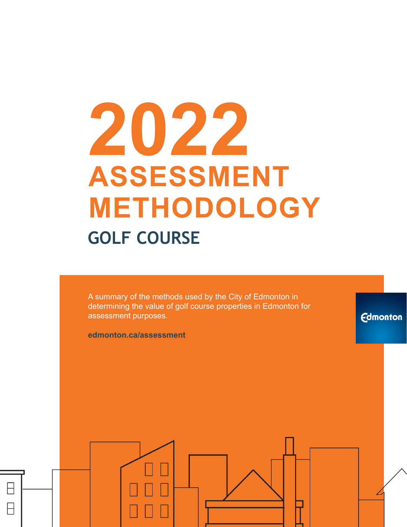# **2022 ASSESSMENT METHODOLOGY GOLF COURSE**

A summary of the methods used by the City of Edmonton in determining the value of golf course properties in Edmonton for assessment purposes.

**Edmonton** 

**edmonton.ca/assessment**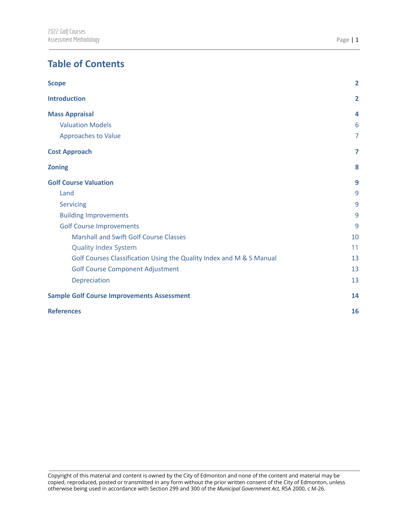## **Table of Contents**

| <b>Scope</b>                                                         | $\overline{2}$ |
|----------------------------------------------------------------------|----------------|
| <b>Introduction</b>                                                  | $\overline{2}$ |
| <b>Mass Appraisal</b>                                                | 4              |
| <b>Valuation Models</b>                                              | 6              |
| <b>Approaches to Value</b>                                           | $\overline{7}$ |
| <b>Cost Approach</b>                                                 | 7              |
| <b>Zoning</b>                                                        | 8              |
| <b>Golf Course Valuation</b>                                         | 9              |
| Land                                                                 | 9              |
| Servicing                                                            | 9              |
| <b>Building Improvements</b>                                         | 9              |
| <b>Golf Course Improvements</b>                                      | 9              |
| <b>Marshall and Swift Golf Course Classes</b>                        | 10             |
| <b>Quality Index System</b>                                          | 11             |
| Golf Courses Classification Using the Quality Index and M & S Manual | 13             |
| <b>Golf Course Component Adjustment</b>                              | 13             |
| Depreciation                                                         | 13             |
| <b>Sample Golf Course Improvements Assessment</b>                    | 14             |
| <b>References</b>                                                    | 16             |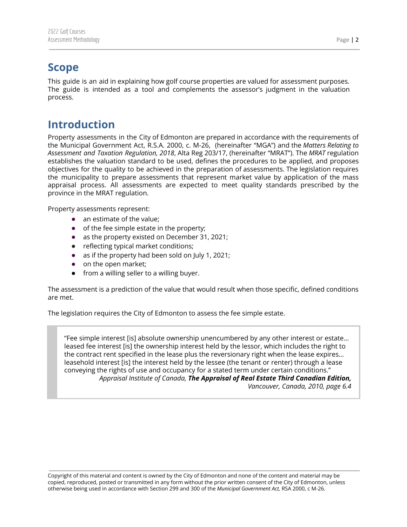## <span id="page-2-0"></span>**Scope**

This guide is an aid in explaining how golf course properties are valued for assessment purposes. The guide is intended as a tool and complements the assessor's judgment in the valuation process.

## <span id="page-2-1"></span>**Introduction**

Property assessments in the City of Edmonton are prepared in accordance with the requirements of the Municipal Government Act, R.S.A. 2000, c. M-26, (hereinafter "MGA") and the *Matters Relating to Assessment and Taxation Regulation, 2018*, Alta Reg 203/17, (hereinafter "MRAT"). The *MRAT* regulation establishes the valuation standard to be used, defines the procedures to be applied, and proposes objectives for the quality to be achieved in the preparation of assessments. The legislation requires the municipality to prepare assessments that represent market value by application of the mass appraisal process. All assessments are expected to meet quality standards prescribed by the province in the MRAT regulation.

Property assessments represent:

- an estimate of the value;
- of the fee simple estate in the property;
- as the property existed on December 31, 2021;
- reflecting typical market conditions;
- as if the property had been sold on July 1, 2021;
- on the open market;
- from a willing seller to a willing buyer.

The assessment is a prediction of the value that would result when those specific, defined conditions are met.

The legislation requires the City of Edmonton to assess the fee simple estate.

"Fee simple interest [is] absolute ownership unencumbered by any other interest or estate… leased fee interest [is] the ownership interest held by the lessor, which includes the right to the contract rent specified in the lease plus the reversionary right when the lease expires… leasehold interest [is] the interest held by the lessee (the tenant or renter) through a lease conveying the rights of use and occupancy for a stated term under certain conditions." *Appraisal Institute of Canada, The Appraisal of Real Estate Third Canadian Edition, Vancouver, Canada, 2010, page 6.4*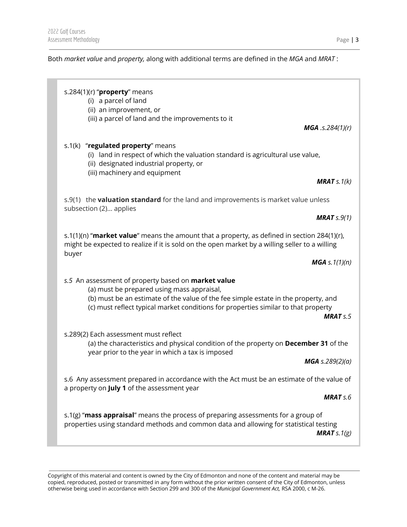#### Both *market value* and *property,* along with additional terms are defined in the *MGA* and *MRAT* :

| s.284(1)(r) " $proper$ y means<br>(i) a parcel of land<br>(ii) an improvement, or<br>(iii) a parcel of land and the improvements to it                                                                                                                                                   |
|------------------------------------------------------------------------------------------------------------------------------------------------------------------------------------------------------------------------------------------------------------------------------------------|
| $MGA$ .s.284(1)(r)                                                                                                                                                                                                                                                                       |
| s.1(k) "regulated property" means<br>(i) land in respect of which the valuation standard is agricultural use value,<br>(ii) designated industrial property, or<br>(iii) machinery and equipment                                                                                          |
| <b>MRAT</b> $s.1(k)$                                                                                                                                                                                                                                                                     |
| s.9(1) the valuation standard for the land and improvements is market value unless<br>subsection (2) applies                                                                                                                                                                             |
| <b>MRAT</b> $s.9(1)$                                                                                                                                                                                                                                                                     |
| s.1(1)(n) "market value" means the amount that a property, as defined in section 284(1)(r),<br>might be expected to realize if it is sold on the open market by a willing seller to a willing<br>buyer                                                                                   |
| <b>MGA</b> s. $1(1)(n)$                                                                                                                                                                                                                                                                  |
| s.5 An assessment of property based on market value<br>(a) must be prepared using mass appraisal,<br>(b) must be an estimate of the value of the fee simple estate in the property, and<br>(c) must reflect typical market conditions for properties similar to that property<br>MRATS.5 |
| s.289(2) Each assessment must reflect<br>(a) the characteristics and physical condition of the property on December 31 of the<br>year prior to the year in which a tax is imposed                                                                                                        |
| <b>MGA</b> s.289(2)(a)                                                                                                                                                                                                                                                                   |
| s.6 Any assessment prepared in accordance with the Act must be an estimate of the value of<br>a property on July 1 of the assessment year                                                                                                                                                |
| <b>MRAT</b> s.6                                                                                                                                                                                                                                                                          |
| s.1(g) "mass appraisal" means the process of preparing assessments for a group of<br>properties using standard methods and common data and allowing for statistical testing<br><b>MRAT</b> s.1(g)                                                                                        |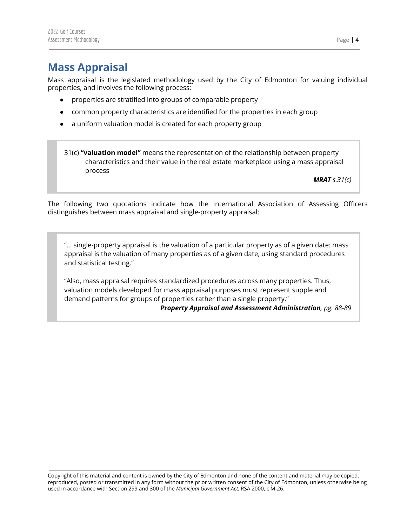## <span id="page-4-0"></span>**Mass Appraisal**

Mass appraisal is the legislated methodology used by the City of Edmonton for valuing individual properties, and involves the following process:

- properties are stratified into groups of comparable property
- common property characteristics are identified for the properties in each group
- a uniform valuation model is created for each [p](http://www.thefreedictionary.com/)roperty group

31(c) **"valuation model"** means the representation of the relationship between property characteristics and their value in the real estate marketplace using a mass appraisal process

*MRAT s.31(c)*

The following two quotations indicate how the International Association of Assessing Officers distinguishes between mass appraisal and single-property appraisal:

"... single-property appraisal is the valuation of a particular property as of a given date: mass appraisal is the valuation of many properties as of a given date, using standard procedures and statistical testing."

"Also, mass appraisal requires standardized procedures across many properties. Thus, valuation models developed for mass appraisal purposes must represent supple and demand patterns for groups of properties rather than a single property."

*Property Appraisal and Assessment Administration, pg. 88-89*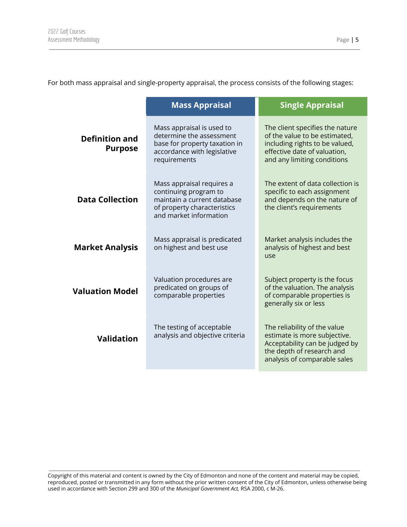For both mass appraisal and single-property appraisal, the process consists of the following stages:

|                                         | <b>Mass Appraisal</b>                                                                                                                      | <b>Single Appraisal</b>                                                                                                                                           |
|-----------------------------------------|--------------------------------------------------------------------------------------------------------------------------------------------|-------------------------------------------------------------------------------------------------------------------------------------------------------------------|
| <b>Definition and</b><br><b>Purpose</b> | Mass appraisal is used to<br>determine the assessment<br>base for property taxation in<br>accordance with legislative<br>requirements      | The client specifies the nature<br>of the value to be estimated,<br>including rights to be valued,<br>effective date of valuation,<br>and any limiting conditions |
| <b>Data Collection</b>                  | Mass appraisal requires a<br>continuing program to<br>maintain a current database<br>of property characteristics<br>and market information | The extent of data collection is<br>specific to each assignment<br>and depends on the nature of<br>the client's requirements                                      |
| <b>Market Analysis</b>                  | Mass appraisal is predicated<br>on highest and best use                                                                                    | Market analysis includes the<br>analysis of highest and best<br>use                                                                                               |
| <b>Valuation Model</b>                  | Valuation procedures are<br>predicated on groups of<br>comparable properties                                                               | Subject property is the focus<br>of the valuation. The analysis<br>of comparable properties is<br>generally six or less                                           |
| <b>Validation</b>                       | The testing of acceptable<br>analysis and objective criteria                                                                               | The reliability of the value<br>estimate is more subjective.<br>Acceptability can be judged by<br>the depth of research and<br>analysis of comparable sales       |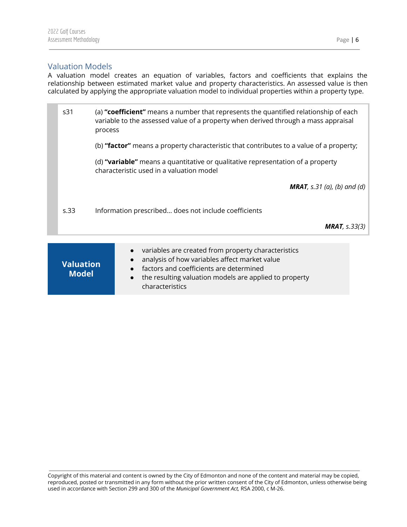#### <span id="page-6-0"></span>Valuation Models

A valuation model creates an equation of variables, factors and coefficients that explains the relationship between estimated market value and property characteristics. An assessed value is then calculated by applying the appropriate valuation model to individual properties within a property type.

| s31                              | (a) "coefficient" means a number that represents the quantified relationship of each<br>variable to the assessed value of a property when derived through a mass appraisal<br>process                                                     |
|----------------------------------|-------------------------------------------------------------------------------------------------------------------------------------------------------------------------------------------------------------------------------------------|
|                                  | (b) "factor" means a property characteristic that contributes to a value of a property;                                                                                                                                                   |
|                                  | (d) "variable" means a quantitative or qualitative representation of a property<br>characteristic used in a valuation model                                                                                                               |
|                                  | <b>MRAT</b> , s.31 (a), (b) and (d)                                                                                                                                                                                                       |
| s.33                             | Information prescribed does not include coefficients                                                                                                                                                                                      |
|                                  | <b>MRAT</b> , s.33(3)                                                                                                                                                                                                                     |
| <b>Valuation</b><br><b>Model</b> | variables are created from property characteristics<br>analysis of how variables affect market value<br>factors and coefficients are determined<br>والشرم ورموس والمتاري والمرمز مترمز والمام ومورا ورمائه والمراريح وزئيان زمام والمرابة |

### the resulting valuation models are applied to property characteristics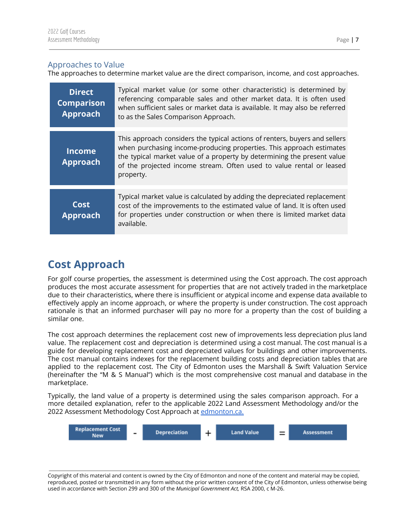#### <span id="page-7-0"></span>Approaches to Value

The approaches to determine market value are the direct comparison, income, and cost approaches.

| <b>Direct</b><br><b>Comparison</b><br><b>Approach</b> | Typical market value (or some other characteristic) is determined by<br>referencing comparable sales and other market data. It is often used<br>when sufficient sales or market data is available. It may also be referred<br>to as the Sales Comparison Approach.                                                 |
|-------------------------------------------------------|--------------------------------------------------------------------------------------------------------------------------------------------------------------------------------------------------------------------------------------------------------------------------------------------------------------------|
| <b>Income</b><br><b>Approach</b>                      | This approach considers the typical actions of renters, buyers and sellers<br>when purchasing income-producing properties. This approach estimates<br>the typical market value of a property by determining the present value<br>of the projected income stream. Often used to value rental or leased<br>property. |
| Cost<br><b>Approach</b>                               | Typical market value is calculated by adding the depreciated replacement<br>cost of the improvements to the estimated value of land. It is often used<br>for properties under construction or when there is limited market data<br>available.                                                                      |

## <span id="page-7-1"></span>**Cost Approach**

For golf course properties, the assessment is determined using the Cost approach. The cost approach produces the most accurate assessment for properties that are not actively traded in the marketplace due to their characteristics, where there is insufficient or atypical income and expense data available to effectively apply an income approach, or where the property is under construction. The cost approach rationale is that an informed purchaser will pay no more for a property than the cost of building a similar one.

The cost approach determines the replacement cost new of improvements less depreciation plus land value. The replacement cost and depreciation is determined using a cost manual. The cost manual is a guide for developing replacement cost and depreciated values for buildings and other improvements. The cost manual contains indexes for the replacement building costs and depreciation tables that are applied to the replacement cost. The City of Edmonton uses the Marshall & Swift Valuation Service (hereinafter the "M & S Manual") which is the most comprehensive cost manual and database in the marketplace.

Typically, the land value of a property is determined using the sales comparison approach. For a more detailed explanation, refer to the applicable 2022 Land Assessment Methodology and/or the 2022 Assessment Methodology Cost Approach at [edmonton.ca.](https://www.edmonton.ca/residential_neighbourhoods/property_tax_assessment/reference-materials.aspx)

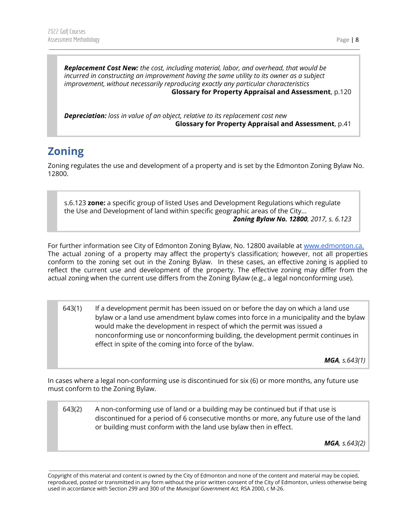*Replacement Cost New: the cost, including material, labor, and overhead, that would be incurred in constructing an improvement having the same utility to its owner as a subject improvement, without necessarily reproducing exactly any particular characteristics* **Glossary for Property Appraisal and Assessment**, p.120

*Depreciation: loss in value of an object, relative to its replacement cost new* **Glossary for Property Appraisal and Assessment**, p.41

## <span id="page-8-0"></span>**Zoning**

Zoning regulates the use and development of a property and is set by the Edmonton Zoning Bylaw No. 12800.

s.6.123 **zone:** a specific group of listed Uses and Development Regulations which regulate the Use and Development of land within specific geographic areas of the City... *Zoning Bylaw No. 12800, 2017, s. 6.123*

For further information see City of Edmonton Zoning Bylaw, No. 12800 available at [www.edmonton.ca.](https://webdocs.edmonton.ca/InfraPlan/zoningbylaw/bylaw_12800.htm) The actual zoning of a property may affect the property's classification; however, not all properties conform to the zoning set out in the Zoning Bylaw. In these cases, an effective zoning is applied to reflect the current use and development of the property. The effective zoning may differ from the actual zoning when the current use differs from the Zoning Bylaw (e.g., a legal nonconforming use).

643(1) If a development permit has been issued on or before the day on which a land use bylaw or a land use amendment bylaw comes into force in a municipality and the bylaw would make the development in respect of which the permit was issued a nonconforming use or nonconforming building, the development permit continues in effect in spite of the coming into force of the bylaw.

*MGA, s.643(1)*

In cases where a legal non-conforming use is discontinued for six (6) or more months, any future use must conform to the Zoning Bylaw.

643(2) A non-conforming use of land or a building may be continued but if that use is discontinued for a period of 6 consecutive months or more, any future use of the land or building must conform with the land use bylaw then in effect.

*MGA, s.643(2)*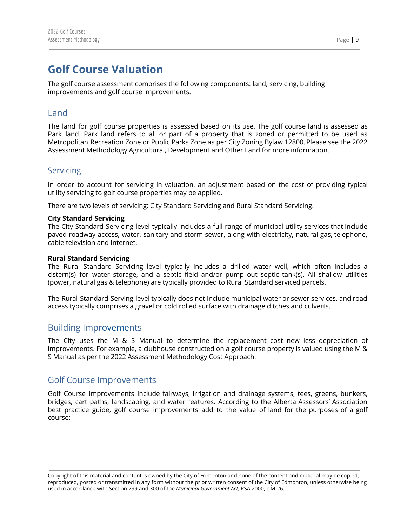## <span id="page-9-0"></span>**Golf Course Valuation**

The golf course assessment comprises the following components: land, servicing, building improvements and golf course improvements.

#### <span id="page-9-1"></span>Land

The land for golf course properties is assessed based on its use. The golf course land is assessed as Park land. Park land refers to all or part of a property that is zoned or permitted to be used as Metropolitan Recreation Zone or Public Parks Zone as per City Zoning Bylaw 12800. Please see the 2022 Assessment Methodology Agricultural, Development and Other Land for more information.

#### <span id="page-9-2"></span>Servicing

In order to account for servicing in valuation, an adjustment based on the cost of providing typical utility servicing to golf course properties may be applied.

There are two levels of servicing: City Standard Servicing and Rural Standard Servicing.

#### **City Standard Servicing**

The City Standard Servicing level typically includes a full range of municipal utility services that include paved roadway access, water, sanitary and storm sewer, along with electricity, natural gas, telephone, cable television and Internet.

#### **Rural Standard Servicing**

The Rural Standard Servicing level typically includes a drilled water well, which often includes a cistern(s) for water storage, and a septic field and/or pump out septic tank(s). All shallow utilities (power, natural gas & telephone) are typically provided to Rural Standard serviced parcels.

The Rural Standard Serving level typically does not include municipal water or sewer services, and road access typically comprises a gravel or cold rolled surface with drainage ditches and culverts.

#### <span id="page-9-3"></span>Building Improvements

The City uses the M & S Manual to determine the replacement cost new less depreciation of improvements. For example, a clubhouse constructed on a golf course property is valued using the M & S Manual as per the 2022 Assessment Methodology Cost Approach.

#### <span id="page-9-4"></span>Golf Course Improvements

Golf Course Improvements include fairways, irrigation and drainage systems, tees, greens, bunkers, bridges, cart paths, landscaping, and water features. According to the Alberta Assessors' Association best practice guide, golf course improvements add to the value of land for the purposes of a golf course: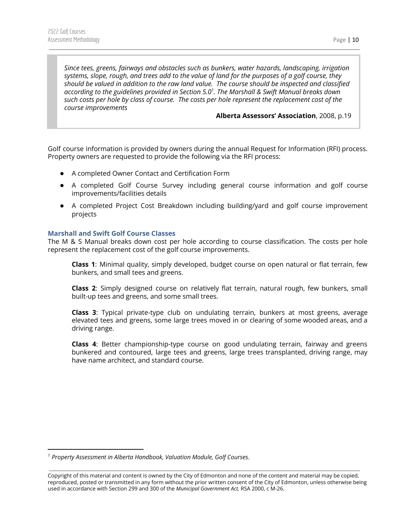*Since tees, greens, fairways and obstacles such as bunkers, water hazards, landscaping, irrigation* systems, slope, rough, and trees add to the value of land for the purposes of a golf course, they *should be valued in addition to the raw land value. The course should be inspected and classified according to the guidelines provided in Section 5.0 . The Marshall & Swift Manual breaks down 1 such costs per hole by class of course. The costs per hole represent the replacement cost of the course improvements*

#### **Alberta Assessors' Association**, 2008, p.19

Golf course information is provided by owners during the annual Request for Information (RFI) process. Property owners are requested to provide the following via the RFI process:

- A completed Owner Contact and Certification Form
- A completed Golf Course Survey including general course information and golf course improvements/facilities details
- A completed Project Cost Breakdown including building/yard and golf course improvement projects

#### <span id="page-10-0"></span>**Marshall and Swift Golf Course Classes**

The M & S Manual breaks down cost per hole according to course classification. The costs per hole represent the replacement cost of the golf course improvements.

**Class 1**: Minimal quality, simply developed, budget course on open natural or flat terrain, few bunkers, and small tees and greens.

**Class 2**: Simply designed course on relatively flat terrain, natural rough, few bunkers, small built-up tees and greens, and some small trees.

**Class 3**: Typical private-type club on undulating terrain, bunkers at most greens, average elevated tees and greens, some large trees moved in or clearing of some wooded areas, and a driving range.

**Class 4**: Better championship-type course on good undulating terrain, fairway and greens bunkered and contoured, large tees and greens, large trees transplanted, driving range, may have name architect, and standard course.

*<sup>1</sup> Property Assessment in Alberta Handbook, Valuation Module, Golf Courses*.

Copyright of this material and content is owned by the City of Edmonton and none of the content and material may be copied, reproduced, posted or transmitted in any form without the prior written consent of the City of Edmonton, unless otherwise being used in accordance with Section 299 and 300 of the *Municipal Government Act,* RSA 2000, c M-26.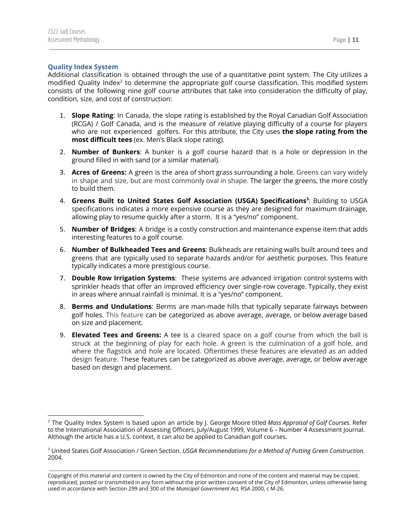#### <span id="page-11-0"></span>**Quality Index System**

Additional classification is obtained through the use of a quantitative point system. The City utilizes a modified Quality Index<sup>2</sup> to determine the appropriate golf course classification. This modified system consists of the following nine golf course attributes that take into consideration the difficulty of play, condition, size, and cost of construction:

- 1. **Slope Rating**: In Canada, the slope rating is established by the Royal Canadian Golf Association (RCGA) / Golf Canada, and is the measure of relative playing difficulty of a course for players who are not experienced golfers. For this attribute, the City uses **the slope rating from the most difficult tees** (ex. Men's Black slope rating).
- 2. **Number of Bunkers**: A bunker is a golf course hazard that is a hole or depression in the ground filled in with sand (or a similar material).
- 3. **Acres of Greens:** A green is the area of short grass surrounding a hole. Greens can vary widely in shape and size, but are most commonly oval in shape. The larger the greens, the more costly to build them.
- 4. **Greens Built to United States Golf Association (USGA) Specifications** : Building to USGA **3** specifications indicates a more expensive course as they are designed for maximum drainage, allowing play to resume quickly after a storm. It is a "yes/no" component.
- 5. **Number of Bridges**: A bridge is a costly construction and maintenance expense item that adds interesting features to a golf course.
- 6. **Number of Bulkheaded Tees and Greens**: Bulkheads are retaining walls built around tees and greens that are typically used to separate hazards and/or for aesthetic purposes. This feature typically indicates a more prestigious course.
- 7. **Double Row Irrigation Systems**: These systems are advanced irrigation control systems with sprinkler heads that offer an improved efficiency over single-row coverage. Typically, they exist in areas where annual rainfall is minimal. It is a "yes/no" component.
- 8. **Berms and Undulations**: Berms are man-made hills that typically separate fairways between golf holes. This feature can be categorized as above average, average, or below average based on size and placement.
- 9. **Elevated Tees and Greens:** A tee is a cleared space on a golf course from which the ball is struck at the beginning of play for each hole. A green is the culmination of a golf hole, and where the flagstick and hole are located. Oftentimes these features are elevated as an added design feature. These features can be categorized as above average, average, or below average based on design and placement.

<sup>2</sup> The Quality Index System is based upon an article by J. George Moore titled *Mass Appraisal of Golf Courses*. Refer to the International Association of Assessing Officers, July/August 1999, Volume 6 – Number 4 Assessment Journal. Although the article has a U.S. context, it can also be applied to Canadian golf courses.

<sup>3</sup> United States Golf Association / Green Section. *USGA Recommendations for a Method of Putting Green Construction.* 2004.

Copyright of this material and content is owned by the City of Edmonton and none of the content and material may be copied, reproduced, posted or transmitted in any form without the prior written consent of the City of Edmonton, unless otherwise being used in accordance with Section 299 and 300 of the *Municipal Government Act,* RSA 2000, c M-26.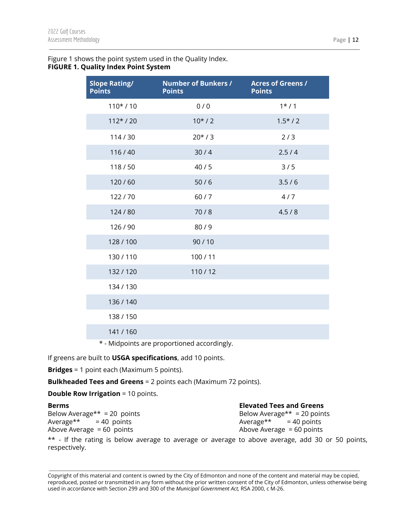#### Figure 1 shows the point system used in the Quality Index. **FIGURE 1. Quality Index Point System**

| <b>Slope Rating/</b><br><b>Points</b> | <b>Number of Bunkers /</b><br><b>Points</b> | <b>Acres of Greens /</b><br><b>Points</b> |
|---------------------------------------|---------------------------------------------|-------------------------------------------|
| $110* / 10$                           | 0/0                                         | $1 * / 1$                                 |
| $112* / 20$                           | $10* / 2$                                   | $1.5* / 2$                                |
| 114/30                                | $20* / 3$                                   | 2/3                                       |
| 116/40                                | 30/4                                        | 2.5/4                                     |
| 118/50                                | 40/5                                        | 3/5                                       |
| 120/60                                | 50/6                                        | 3.5/6                                     |
| 122/70                                | 60/7                                        | 4/7                                       |
| 124/80                                | 70/8                                        | 4.5/8                                     |
| 126/90                                | 80/9                                        |                                           |
| 128/100                               | 90/10                                       |                                           |
| 130/110                               | 100/11                                      |                                           |
| 132/120                               | 110/12                                      |                                           |
| 134 / 130                             |                                             |                                           |
| 136 / 140                             |                                             |                                           |
| 138 / 150                             |                                             |                                           |
| 141/160                               |                                             |                                           |
|                                       | * - Midpoints are proportioned accordingly. |                                           |

If greens are built to **USGA specifications**, add 10 points.

**Bridges** = 1 point each (Maximum 5 points).

**Bulkheaded Tees and Greens** = 2 points each (Maximum 72 points).

#### **Double Row Irrigation** = 10 points.

| <b>Berms</b>                | <b>Elevated Tees and Greens</b> |
|-----------------------------|---------------------------------|
| Below Average** = 20 points | Below Average** = 20 points     |
| Average** = 40 points       | $Average** = 40 points$         |
| Above Average = 60 points   | Above Average $= 60$ points     |
|                             |                                 |

\*\* - If the rating is below average to average or average to above average, add 30 or 50 points, respectively.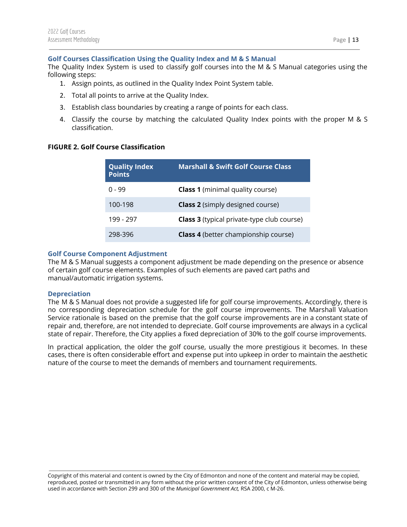#### <span id="page-13-0"></span>**Golf Courses Classification Using the Quality Index and M & S Manual**

The Quality Index System is used to classify golf courses into the M & S Manual categories using the following steps:

- 1. Assign points, as outlined in the Quality Index Point System table.
- 2. Total all points to arrive at the Quality Index.
- 3. Establish class boundaries by creating a range of points for each class.
- 4. Classify the course by matching the calculated Quality Index points with the proper M & S classification.

| <b>Quality Index</b><br><b>Points</b> | <b>Marshall &amp; Swift Golf Course Class</b>     |
|---------------------------------------|---------------------------------------------------|
| ი - 99                                | <b>Class 1</b> (minimal quality course)           |
| 100-198                               | <b>Class 2</b> (simply designed course)           |
| 199 - 297                             | <b>Class 3</b> (typical private-type club course) |
| 298-396                               | <b>Class 4</b> (better championship course)       |

#### **FIGURE 2. Golf Course Classification**

#### <span id="page-13-1"></span>**Golf Course Component Adjustment**

The M & S Manual suggests a component adjustment be made depending on the presence or absence of certain golf course elements. Examples of such elements are paved cart paths and manual/automatic irrigation systems.

#### <span id="page-13-2"></span>**Depreciation**

The M & S Manual does not provide a suggested life for golf course improvements. Accordingly, there is no corresponding depreciation schedule for the golf course improvements. The Marshall Valuation Service rationale is based on the premise that the golf course improvements are in a constant state of repair and, therefore, are not intended to depreciate. Golf course improvements are always in a cyclical state of repair. Therefore, the City applies a fixed depreciation of 30% to the golf course improvements.

In practical application, the older the golf course, usually the more prestigious it becomes. In these cases, there is often considerable effort and expense put into upkeep in order to maintain the aesthetic nature of the course to meet the demands of members and tournament requirements.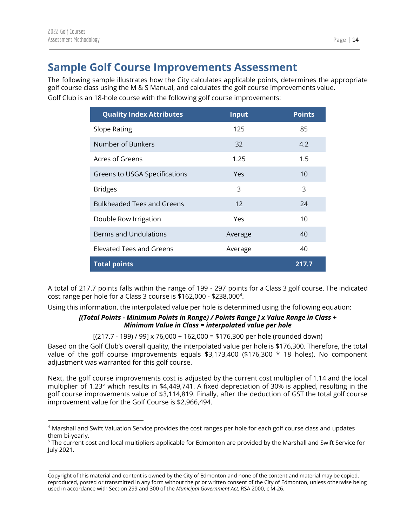## <span id="page-14-0"></span>**Sample Golf Course Improvements Assessment**

The following sample illustrates how the City calculates applicable points, determines the appropriate golf course class using the M & S Manual, and calculates the golf course improvements value. Golf Club is an 18-hole course with the following golf course improvements:

| <b>Quality Index Attributes</b>   | <b>Input</b> | <b>Points</b> |
|-----------------------------------|--------------|---------------|
| <b>Slope Rating</b>               | 125          | 85            |
| Number of Bunkers                 | 32           | 4.2           |
| Acres of Greens                   | 1.25         | 1.5           |
| Greens to USGA Specifications     | Yes          | 10            |
| <b>Bridges</b>                    | 3            | 3             |
| <b>Bulkheaded Tees and Greens</b> | 12           | 24            |
| Double Row Irrigation             | Yes          | 10            |
| <b>Berms and Undulations</b>      | Average      | 40            |
| <b>Elevated Tees and Greens</b>   | Average      | 40            |
| <b>Total points</b>               |              | 217.7         |

A total of 217.7 points falls within the range of 199 - 297 points for a Class 3 golf course. The indicated cost range per hole for a Class 3 course is  $$162,000$  -  $$238,000^4$ .

Using this information, the interpolated value per hole is determined using the following equation:

#### *[(Total Points - Minimum Points in Range) / Points Range ] x Value Range in Class + Minimum Value in Class = interpolated value per hole*

 $[(217.7 - 199) / 99] \times 76,000 + 162,000 = $176,300$  per hole (rounded down)

Based on the Golf Club's overall quality, the interpolated value per hole is \$176,300. Therefore, the total value of the golf course improvements equals \$3,173,400 (\$176,300 \* 18 holes). No component adjustment was warranted for this golf course.

Next, the golf course improvements cost is adjusted by the current cost multiplier of 1.14 and the local multiplier of 1.23<sup>5</sup> which results in \$4,449,741. A fixed depreciation of 30% is applied, resulting in the golf course improvements value of \$3,114,819. Finally, after the deduction of GST the total golf course improvement value for the Golf Course is \$2,966,494.

<sup>4</sup> Marshall and Swift Valuation Service provides the cost ranges per hole for each golf course class and updates them bi-yearly.

<sup>5</sup> The current cost and local multipliers applicable for Edmonton are provided by the Marshall and Swift Service for July 2021.

Copyright of this material and content is owned by the City of Edmonton and none of the content and material may be copied, reproduced, posted or transmitted in any form without the prior written consent of the City of Edmonton, unless otherwise being used in accordance with Section 299 and 300 of the *Municipal Government Act,* RSA 2000, c M-26.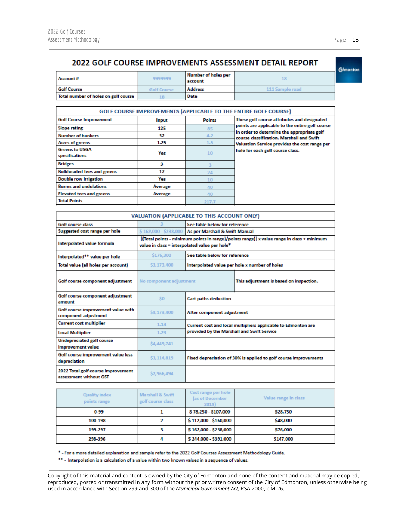#### 2022 GOLF COURSE IMPROVEMENTS ASSESSMENT DETAIL REPORT

| Account#                             | 9999999            | Number of holes per<br><b>account</b> | 18              | <b>Fomoutou</b> |
|--------------------------------------|--------------------|---------------------------------------|-----------------|-----------------|
| <b>Golf Course</b>                   | <b>Golf Course</b> | <b>Address</b>                        | 111 Sample road |                 |
| Total number of holes on golf course | 18                 | l Date                                |                 |                 |

| <b>GOLF COURSE IMPROVEMENTS (APPLICABLE TO THE ENTIRE GOLF COURSE)</b> |         |               |                                                                                               |  |
|------------------------------------------------------------------------|---------|---------------|-----------------------------------------------------------------------------------------------|--|
| <b>Golf Course Improvement</b>                                         | Input   | <b>Points</b> | These golf course attributes and designated                                                   |  |
| <b>Slope rating</b>                                                    | 125     | 85            | points are applicable to the entire golf course<br>in order to determine the appropriate golf |  |
| <b>Number of bunkers</b>                                               | 32      | 4.2           | course classification. Marshall and Swift                                                     |  |
| <b>Acres of greens</b>                                                 | 1.25    | 1.5           | Valuation Service provides the cost range per                                                 |  |
| <b>Greens to USGA</b><br>specifications                                | Yes     | 10            | hole for each golf course class.                                                              |  |
| <b>Bridges</b>                                                         | з       |               |                                                                                               |  |
| <b>Bulkheaded tees and greens</b>                                      | 12      | 24            |                                                                                               |  |
| <b>Double row irrigation</b>                                           | Yes     | 10            |                                                                                               |  |
| <b>Burms and undulations</b>                                           | Average | 40            |                                                                                               |  |
| <b>Elevated tees and greens</b>                                        | Average | 40            |                                                                                               |  |
| <b>Total Points</b>                                                    |         | 217.7         |                                                                                               |  |

| <b>VALUATION (APPLICABLE TO THIS ACCOUNT ONLY)</b>           |                                                                                                                                            |                                                                  |                                               |  |
|--------------------------------------------------------------|--------------------------------------------------------------------------------------------------------------------------------------------|------------------------------------------------------------------|-----------------------------------------------|--|
| Golf course class                                            |                                                                                                                                            | See table below for reference                                    |                                               |  |
| Suggested cost range per hole                                | \$162,000 - \$238,000                                                                                                                      | As per Marshall & Swift Manual                                   |                                               |  |
| Interpolated value formula                                   | [(Total points - minimum points in range)/points range)] x value range in class + minimum<br>value in class = interpolated value per hole* |                                                                  |                                               |  |
| Interpolated** value per hole                                | \$176,300                                                                                                                                  | See table below for reference                                    |                                               |  |
| Total value (all holes per account)                          | \$3,173,400                                                                                                                                |                                                                  | Interpolated value per hole x number of holes |  |
| Golf course component adjustment                             | No component adjustment                                                                                                                    |                                                                  | This adjustment is based on inspection.       |  |
| Golf course component adjustment<br>amount                   | S <sub>0</sub>                                                                                                                             | <b>Cart paths deduction</b>                                      |                                               |  |
| Golf course improvement value with<br>component adjustment   | \$3,173,400                                                                                                                                | After component adjustment                                       |                                               |  |
| <b>Current cost multiplier</b>                               | 1.14                                                                                                                                       | Current cost and local multipliers applicable to Edmonton are    |                                               |  |
| <b>Local Multiplier</b>                                      | 1.23                                                                                                                                       | provided by the Marshall and Swift Service                       |                                               |  |
| <b>Undepreciated golf course</b><br>improvement value        | \$4,449,741                                                                                                                                |                                                                  |                                               |  |
| Golf course improvement value less<br>depreciation           | \$3,114,819                                                                                                                                | Fixed depreciation of 30% is applied to golf course improvements |                                               |  |
| 2022 Total golf course improvement<br>assessment without GST | \$2,966,494                                                                                                                                |                                                                  |                                               |  |

| <b>Quality index</b><br>points range | <b>Marshall &amp; Swift</b><br>golf course class | Cost range per hole<br>las of December<br>2019 | Value range in class |
|--------------------------------------|--------------------------------------------------|------------------------------------------------|----------------------|
| 0-99                                 |                                                  | \$78,250 - \$107,000                           | \$28,750             |
| 100-198                              |                                                  | \$112,000 - \$160,000                          | \$48,000             |
| 199-297                              |                                                  | \$162,000 - \$238,000                          | \$76,000             |
| 298-396                              | 4                                                | \$244,000 - \$391,000                          | \$147,000            |

\* - For a more detailed explanation and sample refer to the 2022 Golf Courses Assessment Methodology Guide.

\*\* - Interpolation is a calculation of a value within two known values in a sequence of values.